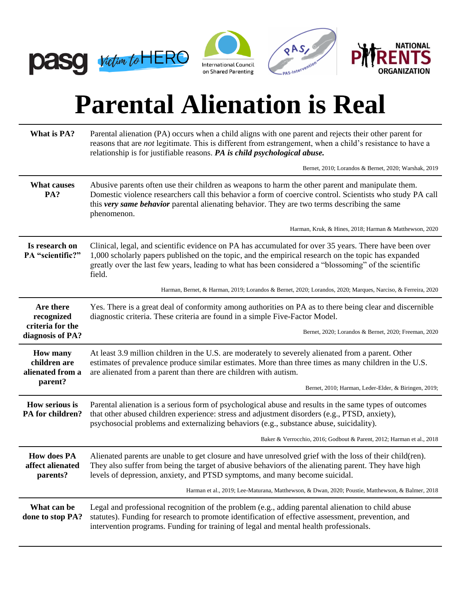



## **Parental Alienation is Real**

| What is PA?                                         | Parental alienation (PA) occurs when a child aligns with one parent and rejects their other parent for<br>reasons that are <i>not</i> legitimate. This is different from estrangement, when a child's resistance to have a<br>relationship is for justifiable reasons. PA is child psychological abuse.                          |  |
|-----------------------------------------------------|----------------------------------------------------------------------------------------------------------------------------------------------------------------------------------------------------------------------------------------------------------------------------------------------------------------------------------|--|
|                                                     | Bernet, 2010; Lorandos & Bernet, 2020; Warshak, 2019                                                                                                                                                                                                                                                                             |  |
| <b>What causes</b><br>PA?                           | Abusive parents often use their children as weapons to harm the other parent and manipulate them.<br>Domestic violence researchers call this behavior a form of coercive control. Scientists who study PA call<br>this very same behavior parental alienating behavior. They are two terms describing the same<br>phenomenon.    |  |
|                                                     | Harman, Kruk, & Hines, 2018; Harman & Matthewson, 2020                                                                                                                                                                                                                                                                           |  |
| Is research on<br>PA "scientific?"                  | Clinical, legal, and scientific evidence on PA has accumulated for over 35 years. There have been over<br>1,000 scholarly papers published on the topic, and the empirical research on the topic has expanded<br>greatly over the last few years, leading to what has been considered a "blossoming" of the scientific<br>field. |  |
|                                                     | Harman, Bernet, & Harman, 2019; Lorandos & Bernet, 2020; Lorandos, 2020; Marques, Narciso, & Ferreira, 2020                                                                                                                                                                                                                      |  |
| Are there<br>recognized                             | Yes. There is a great deal of conformity among authorities on PA as to there being clear and discernible<br>diagnostic criteria. These criteria are found in a simple Five-Factor Model.                                                                                                                                         |  |
| criteria for the<br>diagnosis of PA?                | Bernet, 2020; Lorandos & Bernet, 2020; Freeman, 2020                                                                                                                                                                                                                                                                             |  |
| <b>How many</b><br>children are<br>alienated from a | At least 3.9 million children in the U.S. are moderately to severely alienated from a parent. Other<br>estimates of prevalence produce similar estimates. More than three times as many children in the U.S.<br>are alienated from a parent than there are children with autism.                                                 |  |
| parent?                                             | Bernet, 2010; Harman, Leder-Elder, & Biringen, 2019;                                                                                                                                                                                                                                                                             |  |
| How serious is<br>PA for children?                  | Parental alienation is a serious form of psychological abuse and results in the same types of outcomes<br>that other abused children experience: stress and adjustment disorders (e.g., PTSD, anxiety),<br>psychosocial problems and externalizing behaviors (e.g., substance abuse, suicidality).                               |  |
|                                                     | Baker & Verrocchio, 2016; Godbout & Parent, 2012; Harman et al., 2018                                                                                                                                                                                                                                                            |  |
| <b>How does PA</b><br>affect alienated<br>parents?  | Alienated parents are unable to get closure and have unresolved grief with the loss of their child(ren).<br>They also suffer from being the target of abusive behaviors of the alienating parent. They have high<br>levels of depression, anxiety, and PTSD symptoms, and many become suicidal.                                  |  |
|                                                     | Harman et al., 2019; Lee-Maturana, Matthewson, & Dwan, 2020; Poustie, Matthewson, & Balmer, 2018                                                                                                                                                                                                                                 |  |
| What can be<br>done to stop PA?                     | Legal and professional recognition of the problem (e.g., adding parental alienation to child abuse<br>statutes). Funding for research to promote identification of effective assessment, prevention, and<br>intervention programs. Funding for training of legal and mental health professionals.                                |  |